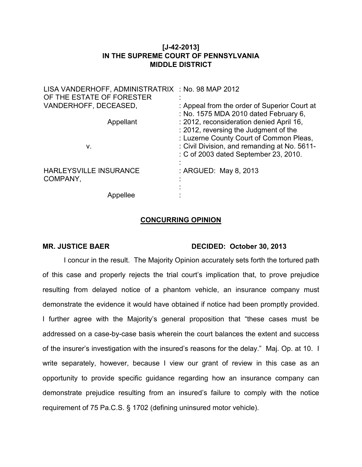## **[J-42-2013] IN THE SUPREME COURT OF PENNSYLVANIA MIDDLE DISTRICT**

| LISA VANDERHOFF, ADMINISTRATRIX : No. 98 MAP 2012 |                                                                                                                              |
|---------------------------------------------------|------------------------------------------------------------------------------------------------------------------------------|
| OF THE ESTATE OF FORESTER                         |                                                                                                                              |
| VANDERHOFF, DECEASED,                             | : Appeal from the order of Superior Court at<br>: No. 1575 MDA 2010 dated February 6,                                        |
| Appellant                                         | : 2012, reconsideration denied April 16,<br>: 2012, reversing the Judgment of the<br>: Luzerne County Court of Common Pleas, |
| ν.                                                | : Civil Division, and remanding at No. 5611-<br>: C of 2003 dated September 23, 2010.                                        |
| <b>HARLEYSVILLE INSURANCE</b><br>COMPANY,         | : ARGUED: May 8, 2013                                                                                                        |
| Appellee                                          |                                                                                                                              |

## **CONCURRING OPINION**

## MR. JUSTICE BAER DECIDED: October 30, 2013

I concur in the result. The Majority Opinion accurately sets forth the tortured path of this case and properly rejects the trial court's implication that, to prove prejudice resulting from delayed notice of a phantom vehicle, an insurance company must demonstrate the evidence it would have obtained if notice had been promptly provided. I further agree with the Majority's general proposition that "these cases must be addressed on a case-by-case basis wherein the court balances the extent and success of the insurer's investigation with the insured's reasons for the delay." Maj. Op. at 10. I write separately, however, because I view our grant of review in this case as an opportunity to provide specific guidance regarding how an insurance company can demonstrate prejudice resulting from an insured's failure to comply with the notice requirement of 75 Pa.C.S. § 1702 (defining uninsured motor vehicle).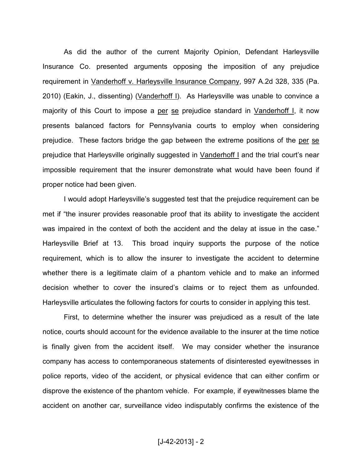As did the author of the current Majority Opinion, Defendant Harleysville Insurance Co. presented arguments opposing the imposition of any prejudice requirement in Vanderhoff v. Harleysville Insurance Company, 997 A.2d 328, 335 (Pa. 2010) (Eakin, J., dissenting) (Vanderhoff I). As Harleysville was unable to convince a majority of this Court to impose a per se prejudice standard in Vanderhoff I, it now presents balanced factors for Pennsylvania courts to employ when considering prejudice. These factors bridge the gap between the extreme positions of the per se prejudice that Harleysville originally suggested in Vanderhoff I and the trial court's near impossible requirement that the insurer demonstrate what would have been found if proper notice had been given.

I would adopt Harleysville's suggested test that the prejudice requirement can be met if "the insurer provides reasonable proof that its ability to investigate the accident was impaired in the context of both the accident and the delay at issue in the case." Harleysville Brief at 13. This broad inquiry supports the purpose of the notice requirement, which is to allow the insurer to investigate the accident to determine whether there is a legitimate claim of a phantom vehicle and to make an informed decision whether to cover the insured's claims or to reject them as unfounded. Harleysville articulates the following factors for courts to consider in applying this test.

First, to determine whether the insurer was prejudiced as a result of the late notice, courts should account for the evidence available to the insurer at the time notice is finally given from the accident itself. We may consider whether the insurance company has access to contemporaneous statements of disinterested eyewitnesses in police reports, video of the accident, or physical evidence that can either confirm or disprove the existence of the phantom vehicle. For example, if eyewitnesses blame the accident on another car, surveillance video indisputably confirms the existence of the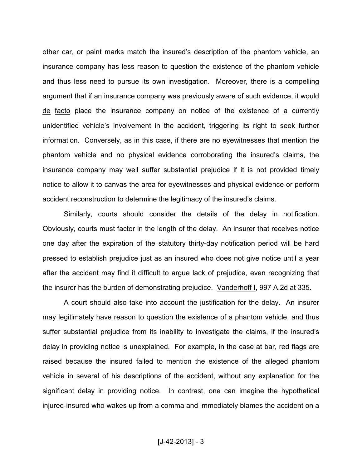other car, or paint marks match the insured's description of the phantom vehicle, an insurance company has less reason to question the existence of the phantom vehicle and thus less need to pursue its own investigation. Moreover, there is a compelling argument that if an insurance company was previously aware of such evidence, it would de facto place the insurance company on notice of the existence of a currently unidentified vehicle's involvement in the accident, triggering its right to seek further information. Conversely, as in this case, if there are no eyewitnesses that mention the phantom vehicle and no physical evidence corroborating the insured's claims, the insurance company may well suffer substantial prejudice if it is not provided timely notice to allow it to canvas the area for eyewitnesses and physical evidence or perform accident reconstruction to determine the legitimacy of the insured's claims.

Similarly, courts should consider the details of the delay in notification. Obviously, courts must factor in the length of the delay. An insurer that receives notice one day after the expiration of the statutory thirty-day notification period will be hard pressed to establish prejudice just as an insured who does not give notice until a year after the accident may find it difficult to argue lack of prejudice, even recognizing that the insurer has the burden of demonstrating prejudice. Vanderhoff I, 997 A.2d at 335.

A court should also take into account the justification for the delay. An insurer may legitimately have reason to question the existence of a phantom vehicle, and thus suffer substantial prejudice from its inability to investigate the claims, if the insured's delay in providing notice is unexplained. For example, in the case at bar, red flags are raised because the insured failed to mention the existence of the alleged phantom vehicle in several of his descriptions of the accident, without any explanation for the significant delay in providing notice. In contrast, one can imagine the hypothetical injured-insured who wakes up from a comma and immediately blames the accident on a